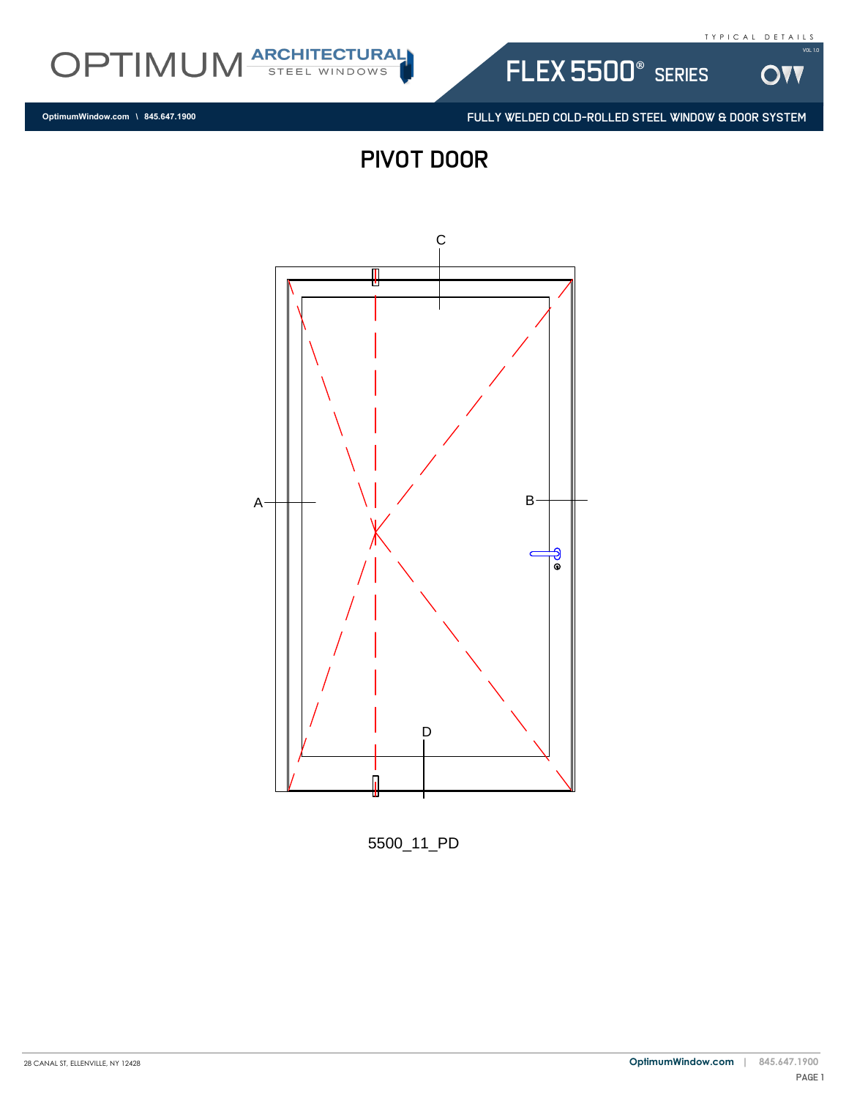**OVV** 

Vol 1.0



FULLY WELDED COLD-ROLLED STEEL WINDOW & DOOR SYSTEM

flex 5500® series

PIVOT DOOR



5500\_11\_PD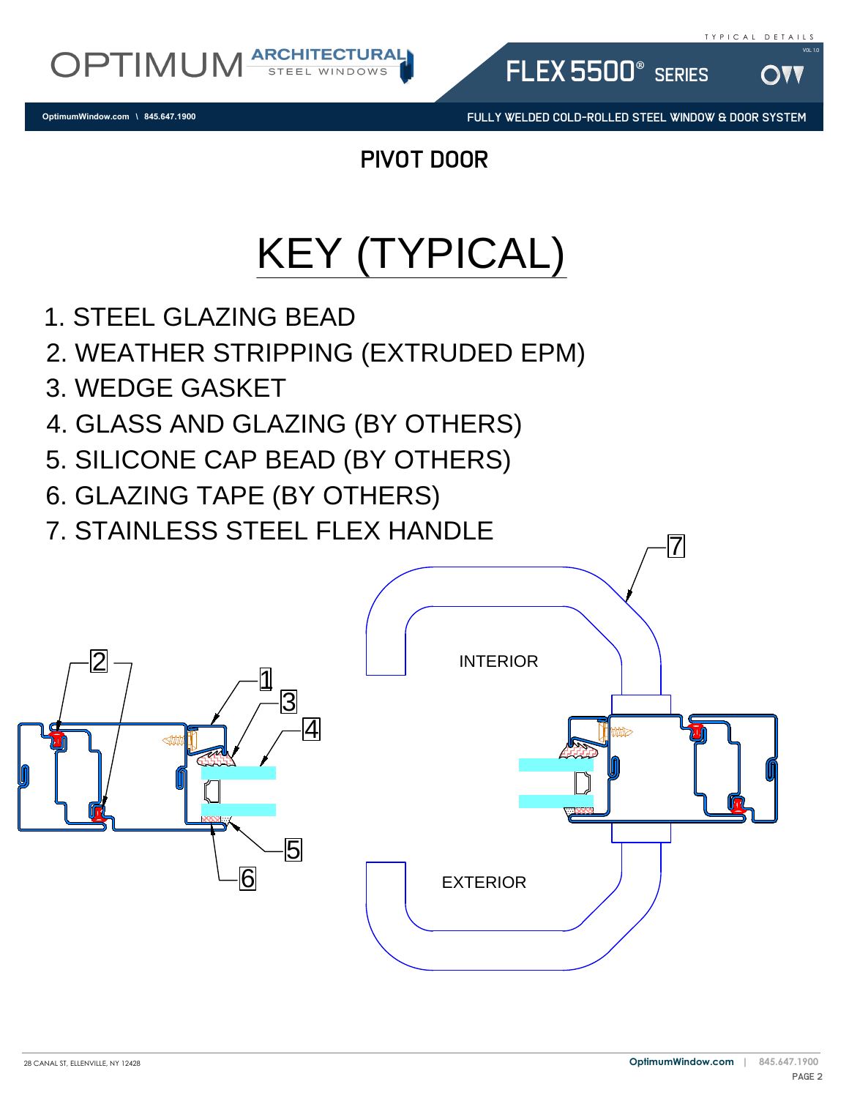Vol 1.0



**OptimumWindow.com \ 845.647.1900**

FULLY WELDED COLD-ROLLED STEEL WINDOW & DOOR SYSTEM

FLEX 5500<sup>®</sup> SERIES

pivot door

## KEY (TYPICAL)

- 
- 1. STEEL GLAZING BEAD<br>2. WEATHER STRIPPING (EXTRUDED EPM)<br>3. WEDGE GASKET<br>4. GLASS AND GLAZING (BY OTHERS)<br>5. SILICONE CAP BEAD (BY OTHERS)<br>6. GLAZING TAPE (BY OTHERS)<br>7. STAINI ESS STEFL ELEX HANDLE
- 
- 1. STEEL GLAZING BEAD<br>2. WEATHER STRIPPING<br>3. WEDGE GASKET<br>4. GLASS AND GLAZING<br>5. SILICONE CAP BEAD (1 2. WEATHER STRIP<br>3. WEDGE GASKET<br>4. GLASS AND GLA<br>5. SILICONE CAP BI<br>6. GLAZING TAPE (I<br>7. STAINLESS STEE
- 5. SILICONE CAP BEAD (BY OTHERS)
- 6. GLAZING TAPE (BY OTHERS)
- 

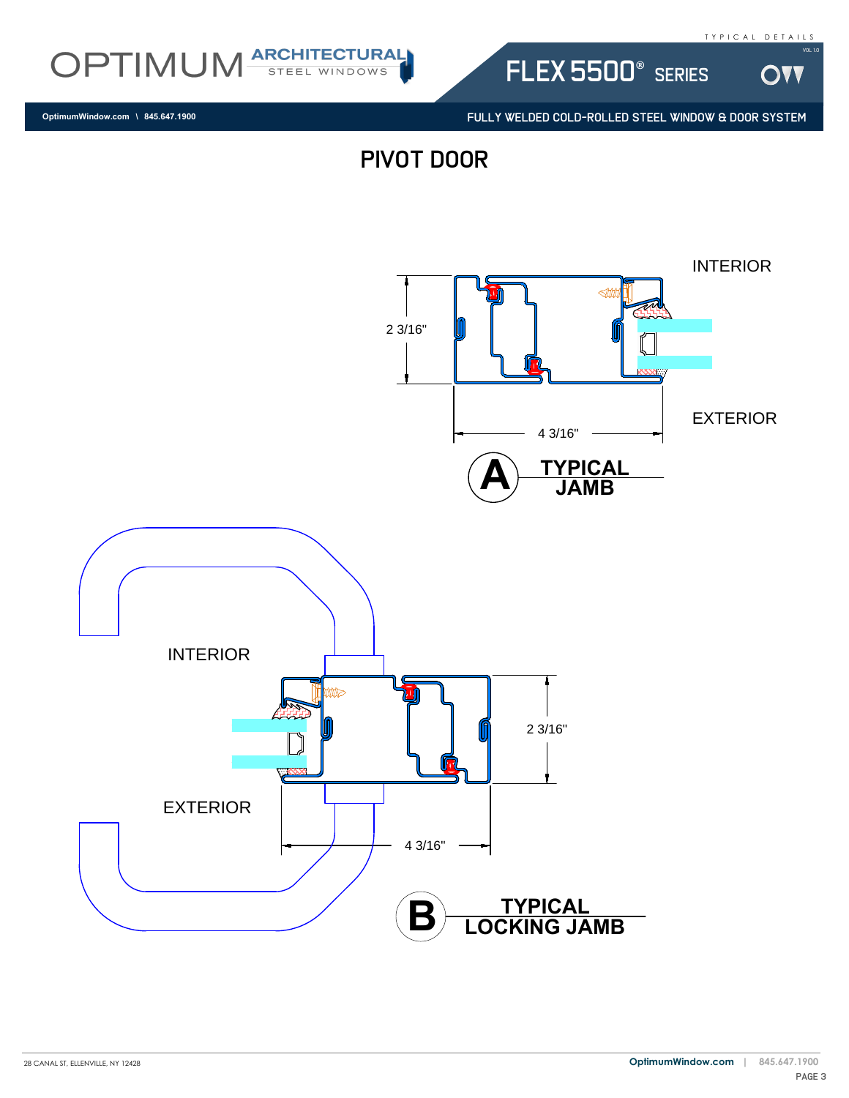OVV

Vol 1.0



flex 5500® series

FULLY WELDED COLD-ROLLED STEEL WINDOW & DOOR SYSTEM

**OptimumWindow.com \ 845.647.1900**

PIVOT DOOR